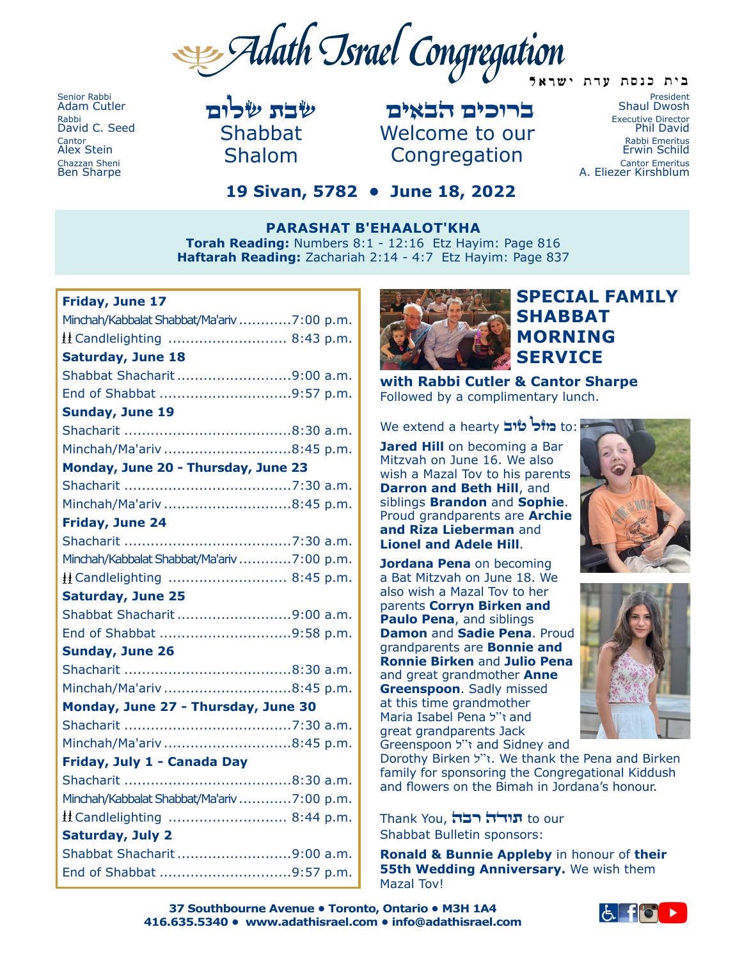B Adath Israel Congregation בית כנסת עדת ישראל

Senior Rabbi Adam Cutler Rabbi David C. Seed **Cantor** Alex Stein Chazzan Sheni Ben Sharpe

שבת שלום Shabbat Shalom

ברוכים הבאים Welcome to our Congregation

President Shaul Dwosh Executive Director Phil David Rabbi Emeritus Erwin Schild Cantor Emeritus A. Eliezer Kirshblum

# **19 Sivan, 5782 • June 18, 2022**

**PARASHAT B'EHAALOT'KHA Torah Reading:** Numbers 8:1 - 12:16 Etz Hayim: Page 816 **Haftarah Reading:** Zachariah 2:14 - 4:7 Etz Hayim: Page 837

#### **Friday, June 17**

| Minchah/Kabbalat Shabbat/Ma'ariv 7:00 p.m. |
|--------------------------------------------|
| H Candlelighting  8:43 p.m.                |
| <b>Saturday, June 18</b>                   |
| Shabbat Shacharit9:00 a.m.                 |
| End of Shabbat 9:57 p.m.                   |
| <b>Sunday, June 19</b>                     |
|                                            |
| Minchah/Ma'ariv 8:45 p.m.                  |
| Monday, June 20 - Thursday, June 23        |
|                                            |
| Minchah/Ma'ariv 8:45 p.m.                  |
| Friday, June 24                            |
|                                            |
| Minchah/Kabbalat Shabbat/Ma'ariv 7:00 p.m. |
| H Candlelighting  8:45 p.m.                |
| <b>Saturday, June 25</b>                   |
| Shabbat Shacharit 9:00 a.m.                |
| End of Shabbat 9:58 p.m.                   |
| <b>Sunday, June 26</b>                     |
|                                            |
| Minchah/Ma'ariv 8:45 p.m.                  |
| Monday, June 27 - Thursday, June 30        |
|                                            |
| Minchah/Ma'ariv 8:45 p.m.                  |
| Friday, July 1 - Canada Day                |
|                                            |
| Minchah/Kabbalat Shabbat/Ma'ariv 7:00 p.m. |
| $\pm$ Candlelighting  8:44 p.m.            |
| <b>Saturday, July 2</b>                    |
| Shabbat Shacharit 9:00 a.m.                |
| End of Shabbat 9:57 p.m.                   |



# **SPECIAL FAMILY SHABBAT MORNING SERVICE**

**with Rabbi Cutler & Cantor Sharpe** Followed by a complimentary lunch.

We extend a hearty **כוזכ<sup>ו</sup> שוב** 

**Jared Hill** on becoming a Bar Mitzvah on June 16. We also wish a Mazal Tov to his parents **Darron and Beth Hill**, and siblings **Brandon** and **Sophie**. Proud grandparents are **Archie and Riza Lieberman** and **Lionel and Adele Hill**.

**Jordana Pena** on becoming a Bat Mitzvah on June 18. We also wish a Mazal Tov to her parents **Corryn Birken and Paulo Pena**, and siblings **Damon** and **Sadie Pena**. Proud grandparents are **Bonnie and Ronnie Birken** and **Julio Pena** and great grandmother **Anne Greenspoon**. Sadly missed at this time grandmother Maria Isabel Pena ל"ז and great grandparents Jack Greenspoon ל"ז and Sidney and





Dorothy Birken ל"ז. We thank the Pena and Birken family for sponsoring the Congregational Kiddush and flowers on the Bimah in Jordana's honour.

Thank You, רבה תודה to our Shabbat Bulletin sponsors:

**Ronald & Bunnie Appleby** in honour of **their 55th Wedding Anniversary.** We wish them Mazal Tov!

**37 Southbourne Avenue • Toronto, Ontario • M3H 1A4 416.635.5340 • www.adathisrael.com • info@adathisrael.com**

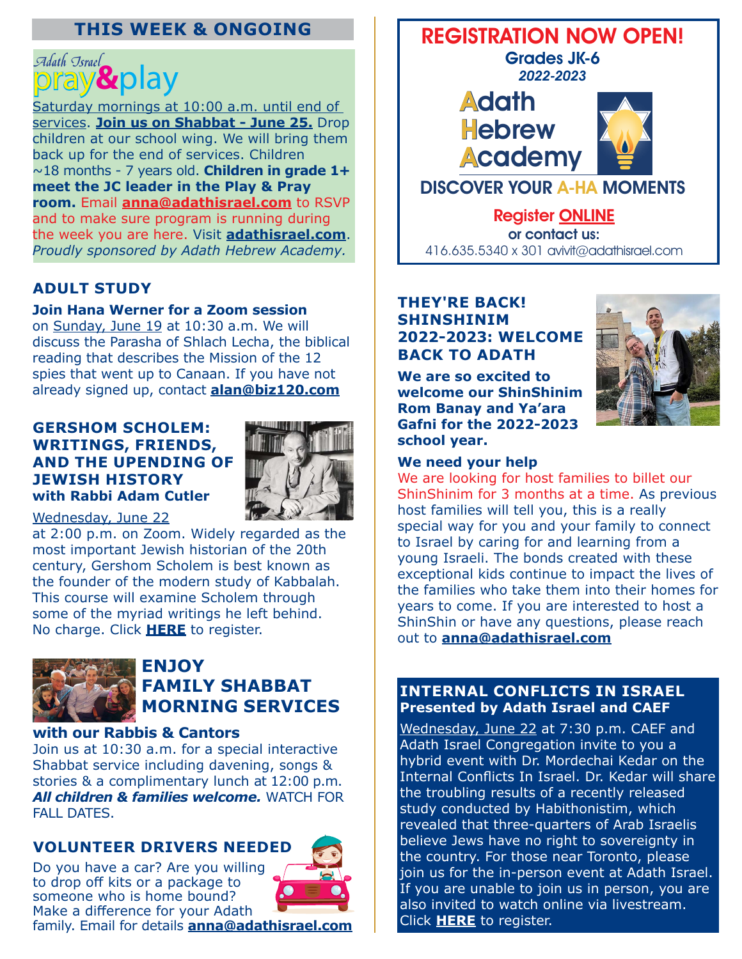# **THIS WEEK & ONGOING**

# *Adath Israel*<br>DFAV & DlaV

Saturday mornings at 10:00 a.m. until end of services. **Join us on Shabbat - June 25.** Drop children at our school wing. We will bring them back up for the end of services. Children ~18 months - 7 years old. **Children in grade 1+ meet the JC leader in the Play & Pray room.** Email **[anna@adathisrael.com](mailto:anna%40adathisrael.com?subject=)** to RSVP and to make sure program is running during the week you are here. Visit **[adathisrael.com](https://www.adathisrael.com/event/pray-play/2022-06-25/)**. *Proudly sponsored by Adath Hebrew Academy.*

# **ADULT STUDY**

#### **Join Hana Werner for a Zoom session**

on Sunday, June 19 at 10:30 a.m. We will discuss the Parasha of Shlach Lecha, the biblical reading that describes the Mission of the 12 spies that went up to Canaan. If you have not already signed up, contact **[alan@biz120.com](mailto:alan%40biz120.com?subject=)**

#### **GERSHOM SCHOLEM: WRITINGS, FRIENDS, AND THE UPENDING OF JEWISH HISTORY with Rabbi Adam Cutler**



#### Wednesday, June 22

at 2:00 p.m. on Zoom. Widely regarded as the most important Jewish historian of the 20th century, Gershom Scholem is best known as the founder of the modern study of Kabbalah. This course will examine Scholem through some of the myriad writings he left behind. No charge. Click **[HERE](https://www.adathisrael.com/event/gershom-scholem/2022-06-22/)** to register.



# **ENJOY FAMILY SHABBAT MORNING SERVICES**

#### **with our Rabbis & Cantors**

Join us at 10:30 a.m. for a special interactive Shabbat service including davening, songs & stories & a complimentary lunch at 12:00 p.m. *All children & families welcome.* WATCH FOR FALL DATES.

## **VOLUNTEER DRIVERS NEEDED**

Do you have a car? Are you willing to drop off kits or a package to someone who is home bound? Make a difference for your Adath family. Email for details **[anna@adathisrael.com](mailto:anna%40adathisrael.com?subject=)**



# REGISTRATION NOW OPEN!

Grades JK-6 2022-2023





Register [ONLINE](https://www.adathisrael.com/schools/aha/) or contact us: 416.635.5340 x 301 avivit@adathisrael.com

#### **THEY'RE BACK! SHINSHINIM 2022-2023: WELCOME BACK TO ADATH**

**We are so excited to welcome our ShinShinim Rom Banay and Ya'ara Gafni for the 2022-2023 school year.** 



#### **We need your help**

We are looking for host families to billet our ShinShinim for 3 months at a time. As previous host families will tell you, this is a really special way for you and your family to connect to Israel by caring for and learning from a young Israeli. The bonds created with these exceptional kids continue to impact the lives of the families who take them into their homes for years to come. If you are interested to host a ShinShin or have any questions, please reach out to **[anna@adathisrael.com](mailto:anna%40adathisrael.com?subject=)**

#### **INTERNAL CONFLICTS IN ISRAEL Presented by Adath Israel and CAEF**

Wednesday, June 22 at 7:30 p.m. CAEF and Adath Israel Congregation invite to you a hybrid event with Dr. Mordechai Kedar on the Internal Conflicts In Israel. Dr. Kedar will share the troubling results of a recently released study conducted by Habithonistim, which revealed that three-quarters of Arab Israelis believe Jews have no right to sovereignty in the country. For those near Toronto, please join us for the in-person event at Adath Israel. If you are unable to join us in person, you are also invited to watch online via livestream. Click **[HERE](https://www.adathisrael.com/event/internal-conflicts-in-israel/)** to register.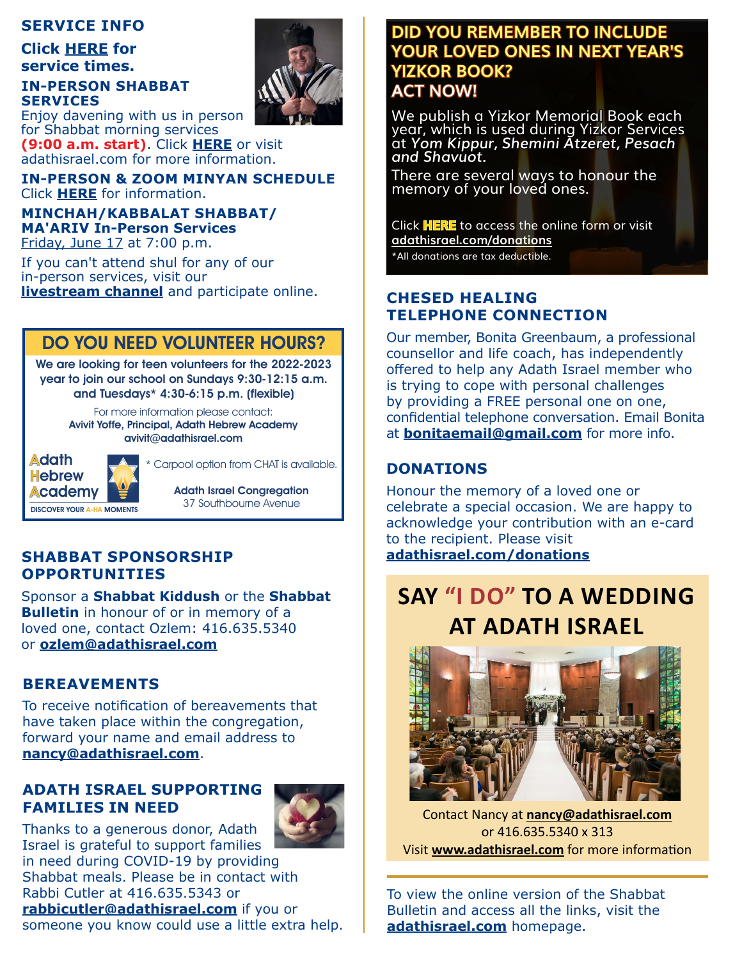### **SERVICE INFO**

**Click [HERE](https://www.adathisrael.com/service-times/) for service times.**

#### **IN-PERSON SHABBAT SERVICES** Enjoy davening with us in person



for Shabbat morning services **(9:00 a.m. start)**. Click **[HERE](https://www.adathisrael.com/pray-and-learn/shabbat-registration/)** or visit adathisrael.com for more information.

**IN-PERSON & ZOOM MINYAN SCHEDULE** Click **[HERE](https://www.adathisrael.com/pray-and-learn/daily-minyan/)** for information.

#### **MINCHAH/KABBALAT SHABBAT/ MA'ARIV In-Person Services** Friday, June 17 at 7:00 p.m.

If you can't attend shul for any of our in-person services, visit our **[livestream](https://www.adathisrael.com/pray-and-learn/livestreaming/) channel** and participate online.

# DO YOU NEED VOLUNTEER HOURS?

We are looking for teen volunteers for the 2022-2023 year to join our school on Sundays 9:30-12:15 a.m. and Tuesdays\* 4:30-6:15 p.m. (flexible)

> For more information please contact: Avivit Yoffe, Principal, Adath Hebrew Academy [avivit@adathisrael.com](mailto:avivit%40adathisrael.com?subject=)



Carpool option from CHAT is available.

Adath Israel Congregation 37 Southbourne Avenue

# **SHABBAT SPONSORSHIP [adathisrael.com/donations](https://www.adathisrael.com/donations/) OPPORTUNITIES**

Sponsor a **Shabbat Kiddush** or the **Shabbat Bulletin** in honour of or in memory of a loved one, contact Ozlem: 416.635.5340 or **[ozlem@adathisrael.com](mailto:ozlem%40adathisrael.com?subject=)**

# **BEREAVEMENTS**

To receive notification of bereavements that have taken place within the congregation, forward your name and email address to **[nancy@adathisrael.com](mailto:nancy%40adathisrael.com?subject=)**.

# **ADATH ISRAEL SUPPORTING FAMILIES IN NEED**



Thanks to a generous donor, Adath Israel is grateful to support families in need during COVID-19 by providing

Shabbat meals. Please be in contact with Rabbi Cutler at 416.635.5343 or

**[rabbicutler@adathisrael.com](mailto:rabbicutler%40adathisrael.com?subject=)** if you or someone you know could use a little extra help.

# **DID YOU REMEMBER TO INCLUDE YOUR LOVED ONES IN NEXT YEAR'S YIZKOR BOOK? ACT NOW!**

We publish a Yizkor Memorial Book each year, which is used during Yizkor Services at *Yom Kippur, Shemini Atzeret, Pesach and Shavuot.*

There are several ways to honour the memory of your loved ones.

Click **[HERE](https://adathisraeltoronto.shulcloud.com/form/yizkor-memorial-book-form-57831.html)** to access the online form or visit **[adathisrael.com/donations](https://www.adathisrael.com/donations/yizkor-memorial-book-5783/)** \*All donations are tax deductible.

# **CHESED HEALING TELEPHONE CONNECTION**

Our member, Bonita Greenbaum, a professional counsellor and life coach, has independently offered to help any Adath Israel member who is trying to cope with personal challenges by providing a FREE personal one on one, confidential telephone conversation. Email Bonita at **[bonitaemail@gmail.com](mailto:bonitaemail%40gmail.com?subject=)** for more info.

# **DONATIONS**

Honour the memory of a loved one or celebrate a special occasion. We are happy to acknowledge your contribution with an e-card to the recipient. Please visit

# **SAY "I DO" TO A WEDDING AT ADATH ISRAEL**



Contact Nancy at **[nancy@adathisrael.com](mailto:nancy%40adathisrael.com?subject=)** or 416.635.5340 x 313 Visit **[www.adathisrael.com](https://www.adathisrael.com/plan-an-event/lifecycle-events/weddings/)** for more information

To view the online version of the Shabbat Bulletin and access all the links, visit the **[adathisrael.com](https://www.adathisrael.com/)** homepage.